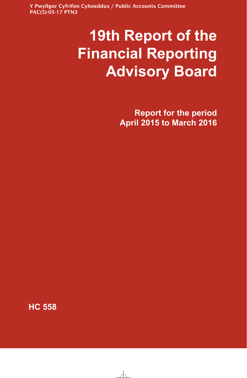Y Pwyllgor Cyfrifon Cyhoeddus / Public Accounts Committee PAC(5)-05-17 PTN3

# **19th Report of the Financial Reporting Advisory Board**

**Report for the period April 2015 to March 2016**

**HC 558**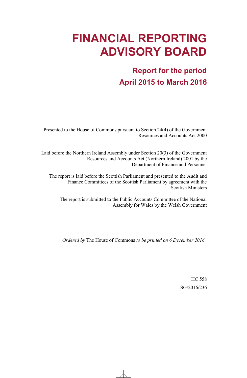## **FINANCIAL REPORTING ADVISORY BOARD**

### **Report for the period April 2015 to March 2016**

Presented to the House of Commons pursuant to Section 24(4) of the Government Resources and Accounts Act 2000

Laid before the Northern Ireland Assembly under Section 20(3) of the Government Resources and Accounts Act (Northern Ireland) 2001 by the Department of Finance and Personnel

The report is laid before the Scottish Parliament and presented to the Audit and Finance Committees of the Scottish Parliament by agreement with the Scottish Ministers

The report is submitted to the Public Accounts Committee of the National Assembly for Wales by the Welsh Government

*Ordered by* The House of Commons *to be printed on 6 December 2016*

HC 558 SG/2016/236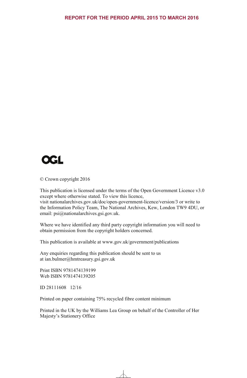

© Crown copyright 2016

This publication is licensed under the terms of the Open Government Licence v3.0 except where otherwise stated. To view this licence, visit nationalarchives.gov.uk/doc/open-government-licence/version/3 or write to the Information Policy Team, The National Archives, Kew, London TW9 4DU, or email: psi $@$ nationalarchives.gsi.gov.uk.

Where we have identified any third party copyright information you will need to obtain permission from the copyright holders concerned.

This publication is available at www.gov.uk/government/publications

Any enquiries regarding this publication should be sent to us at ian.bulmer@hmtreasury.gsi.gov.uk

Print ISBN 9781474139199 Web ISBN 9781474139205

ID 28111608 12/16

Printed on paper containing 75% recycled fibre content minimum

Printed in the UK by the Williams Lea Group on behalf of the Controller of Her Majesty's Stationery Office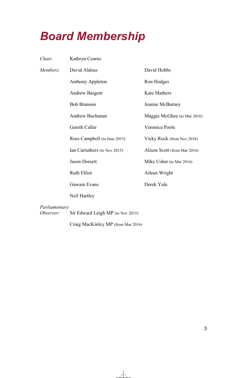## *Board Membership*

| Chair:                     | Kathryn Cearns                    |                              |
|----------------------------|-----------------------------------|------------------------------|
| Members:                   | David Aldous                      | David Hobbs                  |
|                            | <b>Anthony Appleton</b>           | Ron Hodges                   |
|                            | <b>Andrew Baigent</b>             | <b>Kate Mathers</b>          |
|                            | <b>Bob Branson</b>                | Joanne McBurney              |
|                            | Andrew Buchanan                   | Maggie McGhee (to Mar 2016)  |
|                            | Gareth Caller                     | Veronica Poole               |
|                            | Ross Campbell (to June 2015)      | Vicky Rock (from Nov 2016)   |
|                            | Ian Carruthers (to Nov 2015)      | Alison Scott (from Mar 2016) |
|                            | <b>Jason Dorsett</b>              | Mike Usher (to Mar 2016)     |
|                            | Ruth Elliot                       | Aileen Wright                |
|                            | Gawain Evans                      | Derek Yule                   |
|                            | Neil Hartley                      |                              |
| Parliamentary<br>Observer: | Sir Edward Leigh MP (to Nov 2015) |                              |

Craig MacKinley MP (from Mar 2016)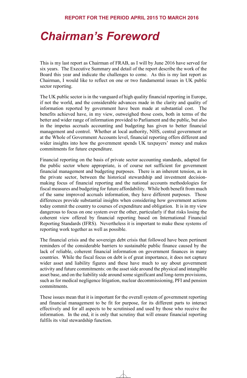### *Chairman's Foreword*

This is my last report as Chairman of FRAB, as I will by June 2016 have served for six years. The Executive Summary and detail of the report describe the work of the Board this year and indicate the challenges to come. As this is my last report as Chairman, I would like to reflect on one or two fundamental issues in UK public sector reporting.

The UK public sector is in the vanguard of high quality financial reporting in Europe, if not the world, and the considerable advances made in the clarity and quality of information reported by government have been made at substantial cost. The benefits achieved have, in my view, outweighed those costs, both in terms of the better and wider range of information provided to Parliament and the public, but also in the impetus accruals accounting and budgeting has given to better financial management and control. Whether at local authority, NHS, central government or at the Whole of Government Accounts level, financial reporting offers different and wider insights into how the government spends UK taxpayers' money and makes commitments for future expenditure.

Financial reporting on the basis of private sector accounting standards, adapted for the public sector where appropriate, is of course not sufficient for government financial management and budgeting purposes. There is an inherent tension, as in the private sector, between the historical stewardship and investment decisionmaking focus of financial reporting and the national accounts methodologies for fiscal measures and budgeting for future affordability. While both benefit from much of the same improved accruals information, they have different purposes. Those differences provide substantial insights when considering how government actions today commit the country to courses of expenditure and obligation. It is in my view dangerous to focus on one system over the other, particularly if that risks losing the coherent view offered by financial reporting based on International Financial Reporting Standards (IFRS). Nevertheless it is important to make these systems of reporting work together as well as possible.

The financial crisis and the sovereign debt crisis that followed have been pertinent reminders of the considerable barriers to sustainable public finance caused by the lack of reliable, coherent financial information on government finances in many countries. While the fiscal focus on debt is of great importance, it does not capture wider asset and liability figures and these have much to say about government activity and future commitments: on the asset side around the physical and intangible asset base, and on the liability side around some significant and long-term provisions, such as for medical negligence litigation, nuclear decommissioning, PFI and pension commitments.

These issues mean that it is important for the overall system of government reporting and financial management to be fit for purpose, for its different parts to interact effectively and for all aspects to be scrutinised and used by those who receive the information. In the end, it is only that scrutiny that will ensure financial reporting fulfils its vital stewardship function.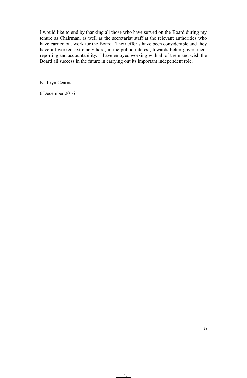I would like to end by thanking all those who have served on the Board during my tenure as Chairman, as well as the secretariat staff at the relevant authorities who have carried out work for the Board. Their efforts have been considerable and they have all worked extremely hard, in the public interest, towards better government reporting and accountability. I have enjoyed working with all of them and wish the Board all success in the future in carrying out its important independent role.

Kathryn Cearns

6 December 2016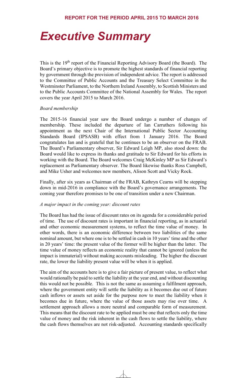## *Executive Summary*

This is the 19th report of the Financial Reporting Advisory Board (the Board). The Board's primary objective is to promote the highest standards of financial reporting by government through the provision of independent advice. The report is addressed to the Committee of Public Accounts and the Treasury Select Committee in the Westminster Parliament, to the Northern Ireland Assembly, to Scottish Ministers and to the Public Accounts Committee of the National Assembly for Wales. The report covers the year April 2015 to March 2016.

#### *Board membership*

The 2015-16 financial year saw the Board undergo a number of changes of membership. These included the departure of Ian Carruthers following his appointment as the next Chair of the International Public Sector Accounting Standards Board (IPSASB) with effect from 1 January 2016. The Board congratulates Ian and is grateful that he continues to be an observer on the FRAB. The Board's Parliamentary observer, Sir Edward Leigh MP, also stood down: the Board would like to express its thanks and gratitude to Sir Edward for his efforts in working with the Board. The Board welcomes Craig McKinley MP as Sir Edward's replacement as Parliamentary observer. The Board likewise thanks Ross Campbell, and Mike Usher and welcomes new members, Alison Scott and Vicky Rock.

Finally, after six years as Chairman of the FRAB, Kathryn Cearns will be stepping down in mid-2016 in compliance with the Board's governance arrangements. The coming year therefore promises to be one of transition under a new Chairman.

#### *A major impact in the coming year: discount rates*

The Board has had the issue of discount rates on its agenda for a considerable period of time. The use of discount rates is important in financial reporting, as in actuarial and other economic measurement systems, to reflect the time value of money. In other words, there is an economic difference between two liabilities of the same nominal amount, but where one is to be settled in cash in 10 years' time and the other in 20 years' time: the present value of the former will be higher than the latter. The time value of money reflects an economic reality that cannot be ignored (unless the impact is immaterial) without making accounts misleading. The higher the discount rate, the lower the liability present value will be when it is applied.

The aim of the accounts here is to give a fair picture of present value, to reflect what would rationally be paid to settle the liability at the year end, and without discounting this would not be possible. This is not the same as assuming a fulfilment approach, where the government entity will settle the liability as it becomes due out of future cash inflows or assets set aside for the purpose now to meet the liability when it becomes due in future, where the value of those assets may rise over time. A settlement approach allows a more neutral and comparable form of measurement. This means that the discount rate to be applied must be one that reflects only the time value of money and the risk inherent in the cash flows to settle the liability, where the cash flows themselves are not risk-adjusted. Accounting standards specifically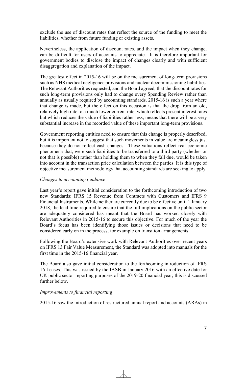exclude the use of discount rates that reflect the source of the funding to meet the liabilities, whether from future funding or existing assets.

Nevertheless, the application of discount rates, and the impact when they change, can be difficult for users of accounts to appreciate. It is therefore important for government bodies to disclose the impact of changes clearly and with sufficient disaggregation and explanation of the impact.

The greatest effect in 2015-16 will be on the measurement of long-term provisions such as NHS medical negligence provisions and nuclear decommissioning liabilities. The Relevant Authorities requested, and the Board agreed, that the discount rates for such long-term provisions only had to change every Spending Review rather than annually as usually required by accounting standards. 2015-16 is such a year where that change is made, but the effect on this occasion is that the drop from an old, relatively high rate to a much lower current rate, which reflects present interest rates but which reduces the value of liabilities rather less, means that there will be a very substantial increase in the recorded value of these important long-term provisions.

Government reporting entities need to ensure that this change is properly described, but it is important not to suggest that such movements in value are meaningless just because they do not reflect cash changes. These valuations reflect real economic phenomena that, were such liabilities to be transferred to a third party (whether or not that is possible) rather than holding them to when they fall due, would be taken into account in the transaction price calculation between the parties. It is this type of objective measurement methodology that accounting standards are seeking to apply.

#### *Changes to accounting guidance*

Last year's report gave initial consideration to the forthcoming introduction of two new Standards: IFRS 15 Revenue from Contracts with Customers and IFRS 9 Financial Instruments. While neither are currently due to be effective until 1 January 2018, the lead time required to ensure that the full implications on the public sector are adequately considered has meant that the Board has worked closely with Relevant Authorities in 2015-16 to secure this objective. For much of the year the Board's focus has been identifying those issues or decisions that need to be considered early on in the process, for example on transition arrangements.

Following the Board's extensive work with Relevant Authorities over recent years on IFRS 13 Fair Value Measurement, the Standard was adopted into manuals for the first time in the 2015-16 financial year.

The Board also gave initial consideration to the forthcoming introduction of IFRS 16 Leases. This was issued by the IASB in January 2016 with an effective date for UK public sector reporting purposes of the 2019-20 financial year; this is discussed further below.

#### *Improvements to financial reporting*

2015-16 saw the introduction of restructured annual report and accounts (ARAs) in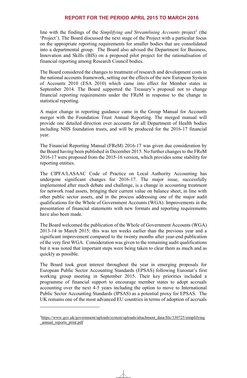line with the findings of the *Simplifying and Streamlining Accounts* project<sup>1</sup> (the 'Project'). The Board discussed the next stage of the Project with a particular focus on the appropriate reporting requirements for smaller bodies that are consolidated into a departmental group. The Board also advised the Department for Business, Innovation and Skills (BIS) on a proposed pilot project for the rationalisation of financial reporting among Research Council bodies.

The Board considered the changes to treatment of research and development costs in the national accounts framework, setting out the effects of the new European System of Accounts 2010 (ESA 2010) which came into effect for Member states in September 2014. The Board supported the Treasury's proposal not to change financial reporting requirements under the FReM in response to the change in statistical reporting.

A major change in reporting guidance came in the Group Manual for Accounts merger with the Foundation Trust Annual Reporting. The merged manual will provide one detailed direction over accounts for all Department of Health bodies including NHS foundation trusts, and will be produced for the 2016-17 financial year.

The Financial Reporting Manual (FReM) 2016-17 was given due consideration by the Board having been published in December 2015. No further changes to the FReM 2016-17 were proposed from the 2015-16 version, which provides some stability for reporting entities.

The CIPFA/LASAAC Code of Practice on Local Authority Accounting has undergone significant changes for 2016-17. The major issue, successfully implemented after much debate and challenge, is a change in accounting treatment for network road assets, bringing their current value on balance sheet, in line with other public sector assets, and in the process addressing one of the major audit qualifications for the Whole of Government Accounts (WGA). Improvements in the presentation of financial statements with new formats and reporting requirements have also been made.

The Board welcomed the publication of the Whole of Government Accounts (WGA) 2013-14 in March 2015; this was ten weeks earlier than the previous year and a significant improvement compared to the twenty months after year-end publication of the very first WGA. Consideration was given to the remaining audit qualifications but it was noted that important steps were being taken to clear them as much and as quickly as possible.

The Board took great interest throughout the year in emerging proposals for European Public Sector Accounting Standards (EPSAS) following Eurostat's first working group meeting in September 2015. Their key priorities included a programme of financial support to encourage member states to adopt accruals accounting over the next 4-5 years including the option to move to International Public Sector Accounting Standards (IPSAS) as a potential proxy for EPSAS. The UK remains one of the most advanced EU countries in terms of adoption of accruals

1

<sup>1</sup>https://www.gov.uk/government/uploads/system/uploads/attachment\_data/file/330725/simplifying \_annual\_reports\_print.pdf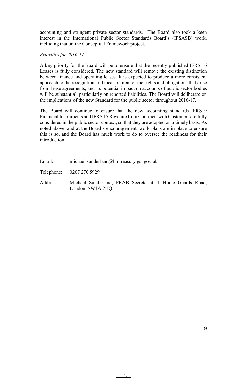accounting and stringent private sector standards. The Board also took a keen interest in the International Public Sector Standards Board's (IPSASB) work, including that on the Conceptual Framework project.

#### *Priorities for 2016-17*

A key priority for the Board will be to ensure that the recently published IFRS 16 Leases is fully considered. The new standard will remove the existing distinction between finance and operating leases. It is expected to produce a more consistent approach to the recognition and measurement of the rights and obligations that arise from lease agreements, and its potential impact on accounts of public sector bodies will be substantial, particularly on reported liabilities. The Board will deliberate on the implications of the new Standard for the public sector throughout 2016-17.

The Board will continue to ensure that the new accounting standards IFRS 9 Financial Instruments and IFRS 15 Revenue from Contracts with Customers are fully considered in the public sector context, so that they are adopted on a timely basis. As noted above, and at the Board's encouragement, work plans are in place to ensure this is so, and the Board has much work to do to oversee the readiness for their **introduction** 

| Email:   | michael.sunderland@hmtreasury.gsi.gov.uk                                       |  |
|----------|--------------------------------------------------------------------------------|--|
|          | Telephone: 0207 270 5929                                                       |  |
| Address: | Michael Sunderland, FRAB Secretariat, 1 Horse Guards Road,<br>London, SW1A 2HQ |  |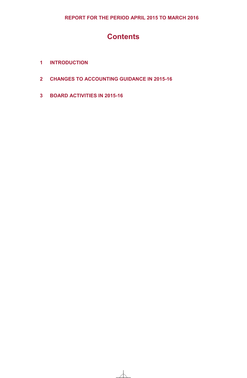### **Contents**

- **1 INTRODUCTION**
- **2 CHANGES TO ACCOUNTING GUIDANCE IN 2015-16**
- **3 BOARD ACTIVITIES IN 2015-16**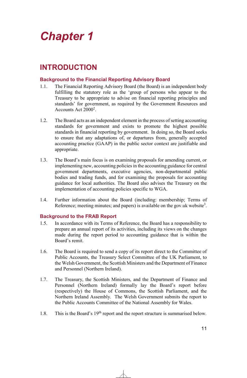## *Chapter 1*

### **INTRODUCTION**

### **Background to the Financial Reporting Advisory Board**

- 1.1. The Financial Reporting Advisory Board (the Board) is an independent body fulfilling the statutory role as the 'group of persons who appear to the Treasury to be appropriate to advise on financial reporting principles and standards' for government, as required by the Government Resources and Accounts Act 2000<sup>2</sup>.
- 1.2. The Board acts as an independent element in the process of setting accounting standards for government and exists to promote the highest possible standards in financial reporting by government. In doing so, the Board seeks to ensure that any adaptations of, or departures from, generally accepted accounting practice (GAAP) in the public sector context are justifiable and appropriate.
- 1.3. The Board's main focus is on examining proposals for amending current, or implementing new, accounting policies in the accounting guidance for central government departments, executive agencies, non-departmental public bodies and trading funds, and for examining the proposals for accounting guidance for local authorities. The Board also advises the Treasury on the implementation of accounting policies specific to WGA.
- 1.4. Further information about the Board (including: membership; Terms of Reference; meeting minutes; and papers) is available on the gov.uk website<sup>3</sup>.

### **Background to the FRAB Report**

- 1.5. In accordance with its Terms of Reference, the Board has a responsibility to prepare an annual report of its activities, including its views on the changes made during the report period to accounting guidance that is within the Board's remit.
- 1.6. The Board is required to send a copy of its report direct to the Committee of Public Accounts, the Treasury Select Committee of the UK Parliament, to the Welsh Government, the Scottish Ministers and the Department of Finance and Personnel (Northern Ireland).
- 1.7. The Treasury, the Scottish Ministers, and the Department of Finance and Personnel (Northern Ireland) formally lay the Board's report before (respectively) the House of Commons, the Scottish Parliament, and the Northern Ireland Assembly. The Welsh Government submits the report to the Public Accounts Committee of the National Assembly for Wales.
- 1.8. This is the Board's 19<sup>th</sup> report and the report structure is summarised below.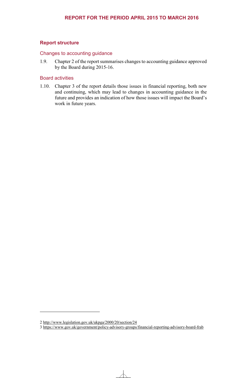### **Report structure**

#### Changes to accounting guidance

1.9. Chapter 2 of the report summarises changes to accounting guidance approved by the Board during 2015-16.

### Board activities

1.10. Chapter 3 of the report details those issues in financial reporting, both new and continuing, which may lead to changes in accounting guidance in the future and provides an indication of how those issues will impact the Board's work in future years.

1

<sup>2</sup> http://www.legislation.gov.uk/ukpga/2000/20/section/24

<sup>3</sup> https://www.gov.uk/government/policy-advisory-groups/financial-reporting-advisory-board-frab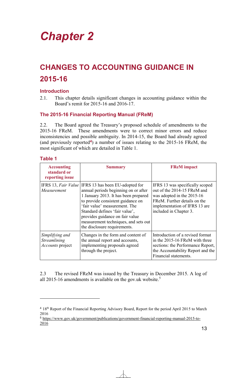## *Chapter 2*

### **CHANGES TO ACCOUNTING GUIDANCE IN 2015-16**

### **Introduction**

2.1. This chapter details significant changes in accounting guidance within the Board's remit for 2015-16 and 2016-17.

### **The 2015-16 Financial Reporting Manual (FReM)**

2.2. The Board agreed the Treasury's proposed schedule of amendments to the 2015-16 FReM. These amendments were to correct minor errors and reduce inconsistencies and possible ambiguity. In 2014-15, the Board had already agreed (and previously reported**<sup>4</sup>**) a number of issues relating to the 2015-16 FReM, the most significant of which are detailed in Table 1.

### **Table 1**

1

| <b>Accounting</b><br>standard or<br>reporting issue        | <b>Summary</b>                                                                                                                                                                                                                                                                                                                                         | <b>FReM</b> impact                                                                                                                                                                      |
|------------------------------------------------------------|--------------------------------------------------------------------------------------------------------------------------------------------------------------------------------------------------------------------------------------------------------------------------------------------------------------------------------------------------------|-----------------------------------------------------------------------------------------------------------------------------------------------------------------------------------------|
| Measurement                                                | IFRS 13, Fair Value IFRS 13 has been EU-adopted for<br>annual periods beginning on or after<br>1 January 2013. It has been prepared<br>to provide consistent guidance on<br>'fair value' measurement. The<br>Standard defines 'fair value',<br>provides guidance on fair value<br>measurement techniques, and sets out<br>the disclosure requirements. | IFRS 13 was specifically scoped<br>out of the 2014-15 FReM and<br>was adopted in the 2015-16<br>FReM. Further details on the<br>implementation of IFRS 13 are<br>included in Chapter 3. |
| Simplifying and<br>Streamlining<br><i>Accounts</i> project | Changes in the form and content of<br>the annual report and accounts,<br>implementing proposals agreed<br>through the project.                                                                                                                                                                                                                         | Introduction of a revised format<br>in the 2015-16 FReM with three<br>sections: the Performance Report,<br>the Accountability Report and the<br>Financial statements.                   |

2.3 The revised FReM was issued by the Treasury in December 2015. A log of all 2015-16 amendments is available on the gov.uk website.<sup>5</sup>

<sup>4</sup> 18th Report of the Financial Reporting Advisory Board, Report for the period April 2015 to March 2016

<sup>5</sup> https://www.gov.uk/government/publications/government-financial-reporting-manual-2015-to-2016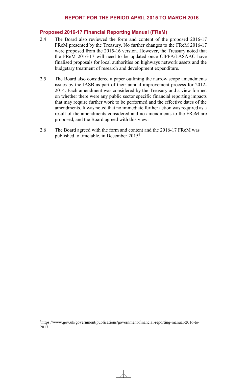### **Proposed 2016-17 Financial Reporting Manual (FReM)**

- 2.4 The Board also reviewed the form and content of the proposed 2016-17 FReM presented by the Treasury. No further changes to the FReM 2016-17 were proposed from the 2015-16 version. However, the Treasury noted that the FReM 2016-17 will need to be updated once CIPFA/LASAAC have finalised proposals for local authorities on highways network assets and the budgetary treatment of research and development expenditure.
- 2.5 The Board also considered a paper outlining the narrow scope amendments issues by the IASB as part of their annual improvement process for 2012- 2014. Each amendment was considered by the Treasury and a view formed on whether there were any public sector specific financial reporting impacts that may require further work to be performed and the effective dates of the amendments. It was noted that no immediate further action was required as a result of the amendments considered and no amendments to the FReM are proposed, and the Board agreed with this view.
- 2.6 The Board agreed with the form and content and the 2016-17 FReM was published to timetable, in December 2015<sup>6</sup>.

1

<sup>6</sup>https://www.gov.uk/government/publications/government-financial-reporting-manual-2016-to-2017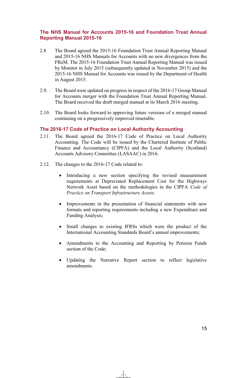### **The NHS Manual for Accounts 2015-16 and Foundation Trust Annual Reporting Manual 2015-16**

- 2.8 The Board agreed the 2015-16 Foundation Trust Annual Reporting Manual and 2015-16 NHS Manuals for Accounts with no new divergences from the FReM. The 2015-16 Foundation Trust Annual Reporting Manual was issued by Monitor in July 2015 (subsequently updated in November 2015) and the 2015-16 NHS Manual for Accounts was issued by the Department of Health in August 2015.
- 2.9. The Board were updated on progress in respect of the 2016-17 Group Manual for Accounts merger with the Foundation Trust Annual Reporting Manual. The Board received the draft merged manual at its March 2016 meeting.
- 2.10. The Board looks forward to approving future versions of a merged manual continuing on a progressively improved timetable.

### **The 2016-17 Code of Practice on Local Authority Accounting**

- 2.11. The Board agreed the 2016-17 Code of Practice on Local Authority Accounting. The Code will be issued by the Chartered Institute of Public Finance and Accountancy (CIPFA) and the Local Authority (Scotland) Accounts Advisory Committee (LASAAC) in 2016.
- 2.12. The changes to the 2016-17 Code related to:
	- Introducing a new section specifying the revised measurement requirements at Depreciated Replacement Cost for the Highways Network Asset based on the methodologies in the CIPFA *Code of Practice on Transport Infrastructure Assets;*
	- Improvements in the presentation of financial statements with new formats and reporting requirements including a new Expenditure and Funding Analysis;
	- Small changes to existing IFRSs which were the product of the International Accounting Standards Board's annual improvements;
	- Amendments to the Accounting and Reporting by Pension Funds section of the Code;
	- Updating the Narrative Report section to reflect legislative amendments.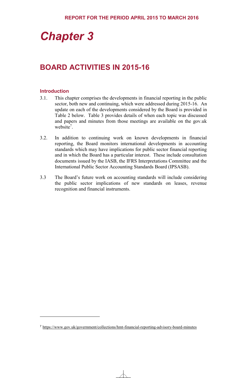## *Chapter 3*

### **BOARD ACTIVITIES IN 2015-16**

#### **Introduction**

<u>.</u>

- 3.1. This chapter comprises the developments in financial reporting in the public sector, both new and continuing, which were addressed during 2015-16. An update on each of the developments considered by the Board is provided in Table 2 below. Table 3 provides details of when each topic was discussed and papers and minutes from those meetings are available on the gov.uk website<sup>7</sup>.
- 3.2. In addition to continuing work on known developments in financial reporting, the Board monitors international developments in accounting standards which may have implications for public sector financial reporting and in which the Board has a particular interest. These include consultation documents issued by the IASB, the IFRS Interpretations Committee and the International Public Sector Accounting Standards Board (IPSASB).
- 3.3 The Board's future work on accounting standards will include considering the public sector implications of new standards on leases, revenue recognition and financial instruments.

<sup>7</sup> https://www.gov.uk/government/collections/hmt-financial-reporting-advisory-board-minutes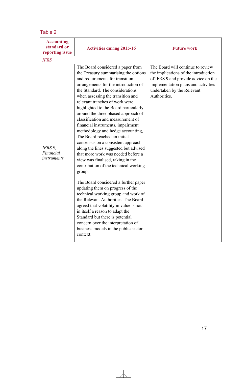### Table 2

| <b>Accounting</b><br>standard or<br>reporting issue | <b>Activities during 2015-16</b>                                                                                                                                                                                                                                                                                                                                                                                                                                                                                                                                                                                                                                                                                                                                                                                                                                                                                                                                                                                                                                                | <b>Future work</b>                                                                                                                                                                                    |
|-----------------------------------------------------|---------------------------------------------------------------------------------------------------------------------------------------------------------------------------------------------------------------------------------------------------------------------------------------------------------------------------------------------------------------------------------------------------------------------------------------------------------------------------------------------------------------------------------------------------------------------------------------------------------------------------------------------------------------------------------------------------------------------------------------------------------------------------------------------------------------------------------------------------------------------------------------------------------------------------------------------------------------------------------------------------------------------------------------------------------------------------------|-------------------------------------------------------------------------------------------------------------------------------------------------------------------------------------------------------|
| <b>IFRS</b>                                         |                                                                                                                                                                                                                                                                                                                                                                                                                                                                                                                                                                                                                                                                                                                                                                                                                                                                                                                                                                                                                                                                                 |                                                                                                                                                                                                       |
| IFRS 9,<br>Financial<br>instruments                 | The Board considered a paper from<br>the Treasury summarising the options<br>and requirements for transition<br>arrangements for the introduction of<br>the Standard. The considerations<br>when assessing the transition and<br>relevant tranches of work were<br>highlighted to the Board particularly<br>around the three phased approach of<br>classification and measurement of<br>financial instruments, impairment<br>methodology and hedge accounting,<br>The Board reached an initial<br>consensus on a consistent approach<br>along the lines suggested but advised<br>that more work was needed before a<br>view was finalised, taking in the<br>contribution of the technical working<br>group.<br>The Board considered a further paper<br>updating them on progress of the<br>technical working group and work of<br>the Relevant Authorities. The Board<br>agreed that volatility in value is not<br>in itself a reason to adapt the<br>Standard but there is potential<br>concern over the interpretation of<br>business models in the public sector<br>context. | The Board will continue to review<br>the implications of the introduction<br>of IFRS 9 and provide advice on the<br>implementation plans and activities<br>undertaken by the Relevant<br>Authorities. |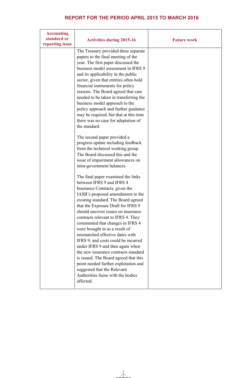| <b>Accounting</b><br>standard or<br>reporting issue | <b>Activities during 2015-16</b>                                                                                                                                                                                                                                                                                                                                                                                                                                                                                                                                                                                                                                                               | <b>Future work</b> |
|-----------------------------------------------------|------------------------------------------------------------------------------------------------------------------------------------------------------------------------------------------------------------------------------------------------------------------------------------------------------------------------------------------------------------------------------------------------------------------------------------------------------------------------------------------------------------------------------------------------------------------------------------------------------------------------------------------------------------------------------------------------|--------------------|
|                                                     | The Treasury provided three separate<br>papers to the final meeting of the<br>year. The first paper discussed the<br>business model assessment in IFRS 9<br>and its applicability in the public<br>sector, given that entities often hold<br>financial instruments for policy<br>reasons. The Board agreed that care<br>needed to be taken in transferring the<br>business model approach to the<br>policy approach and further guidance<br>may be required, but that at this time<br>there was no case for adaptation of<br>the standard.                                                                                                                                                     |                    |
|                                                     | The second paper provided a<br>progress update including feedback<br>from the technical working group.<br>The Board discussed this and the<br>issue of impairment allowances on<br>intra-government balances.                                                                                                                                                                                                                                                                                                                                                                                                                                                                                  |                    |
|                                                     | The final paper examined the links<br>between IFRS 9 and IFRS 4<br>Insurance Contracts, given the<br>IASB's proposed amendments to the<br>existing standard. The Board agreed<br>that the Exposure Draft for IFRS 9<br>should uncover issues on insurance<br>contracts relevant to IFRS 4. They<br>commented that changes in IFRS 4<br>were brought in as a result of<br>mismatched effective dates with<br>IFRS 9, and costs could be incurred<br>under IFRS 9 and then again when<br>the new insurance contracts standard<br>is issued. The Board agreed that this<br>point needed further exploration and<br>suggested that the Relevant<br>Authorities liaise with the bodies<br>affected. |                    |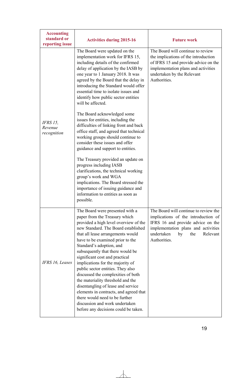| <b>Accounting</b><br>standard or<br>reporting issue | <b>Activities during 2015-16</b>                                                                                                                                                                                                                                                                                                                                                                                                                                                                                                                                                                                                                                            | <b>Future work</b>                                                                                                                                                                                              |
|-----------------------------------------------------|-----------------------------------------------------------------------------------------------------------------------------------------------------------------------------------------------------------------------------------------------------------------------------------------------------------------------------------------------------------------------------------------------------------------------------------------------------------------------------------------------------------------------------------------------------------------------------------------------------------------------------------------------------------------------------|-----------------------------------------------------------------------------------------------------------------------------------------------------------------------------------------------------------------|
|                                                     | The Board were updated on the<br>implementation work for IFRS 15,<br>including details of the confirmed<br>delay of application by the IASB by<br>one year to 1 January 2018. It was<br>agreed by the Board that the delay in<br>introducing the Standard would offer<br>essential time to isolate issues and<br>identify how public sector entities<br>will be affected.                                                                                                                                                                                                                                                                                                   | The Board will continue to review<br>the implications of the introduction<br>of IFRS 15 and provide advice on the<br>implementation plans and activities<br>undertaken by the Relevant<br>Authorities.          |
| <b>IFRS 15,</b><br>Revenue<br>recognition           | The Board acknowledged some<br>issues for entities, including the<br>difficulties of linking front and back<br>office staff, and agreed that technical<br>working groups should continue to<br>consider these issues and offer<br>guidance and support to entities.<br>The Treasury provided an update on<br>progress including IASB<br>clarifications, the technical working<br>group's work and WGA<br>implications. The Board stressed the<br>importance of issuing guidance and<br>information to entities as soon as<br>possible.                                                                                                                                      |                                                                                                                                                                                                                 |
| IFRS 16, Leases                                     | The Board were presented with a<br>paper from the Treasury which<br>provided a high level overview of the<br>new Standard. The Board established<br>that all lease arrangements would<br>have to be examined prior to the<br>Standard's adoption, and<br>subsequently that there would be<br>significant cost and practical<br>implications for the majority of<br>public sector entities. They also<br>discussed the complexities of both<br>the materiality threshold and the<br>disentangling of lease and service<br>elements in contracts, and agreed that<br>there would need to be further<br>discussion and work undertaken<br>before any decisions could be taken. | The Board will continue to review the<br>implications of the introduction of<br>IFRS 16 and provide advice on the<br>implementation plans and activities<br>undertaken<br>by<br>the<br>Relevant<br>Authorities. |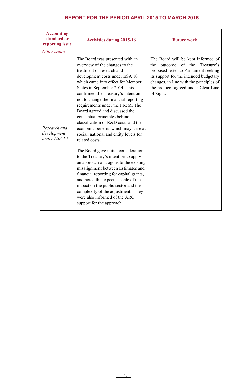| <b>Accounting</b><br>standard or<br>reporting issue | <b>Activities during 2015-16</b>                                                                                                                                                                                                                                                                                                                                                                                                                                                                                                                                                                                                                                                                                                                                                                                                                                                                                                    | <b>Future work</b>                                                                                                                                                                                                                                              |
|-----------------------------------------------------|-------------------------------------------------------------------------------------------------------------------------------------------------------------------------------------------------------------------------------------------------------------------------------------------------------------------------------------------------------------------------------------------------------------------------------------------------------------------------------------------------------------------------------------------------------------------------------------------------------------------------------------------------------------------------------------------------------------------------------------------------------------------------------------------------------------------------------------------------------------------------------------------------------------------------------------|-----------------------------------------------------------------------------------------------------------------------------------------------------------------------------------------------------------------------------------------------------------------|
| Other issues                                        |                                                                                                                                                                                                                                                                                                                                                                                                                                                                                                                                                                                                                                                                                                                                                                                                                                                                                                                                     |                                                                                                                                                                                                                                                                 |
| Research and<br>development<br>under ESA 10         | The Board was presented with an<br>overview of the changes to the<br>treatment of research and<br>development costs under ESA 10<br>which came into effect for Member<br>States in September 2014. This<br>confirmed the Treasury's intention<br>not to change the financial reporting<br>requirements under the FReM. The<br>Board agreed and discussed the<br>conceptual principles behind<br>classification of R&D costs and the<br>economic benefits which may arise at<br>social, national and entity levels for<br>related costs.<br>The Board gave initial consideration<br>to the Treasury's intention to apply<br>an approach analogous to the existing<br>misalignment between Estimates and<br>financial reporting for capital grants,<br>and noted the expected scale of the<br>impact on the public sector and the<br>complexity of the adjustment. They<br>were also informed of the ARC<br>support for the approach. | The Board will be kept informed of<br>of the<br>Treasury's<br>the<br>outcome<br>proposed letter to Parliament seeking<br>its support for the intended budgetary<br>changes, in line with the principles of<br>the protocol agreed under Clear Line<br>of Sight. |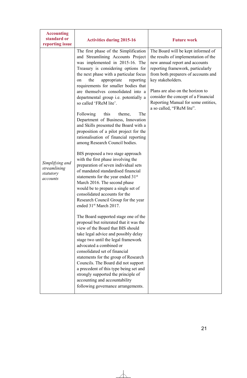| <b>Accounting</b><br>standard or<br>reporting issue      | <b>Activities during 2015-16</b>                                                                                                                                                                                                                                                                                                                                                                                                                                                                                                                                                                                                                                                                                                                                                                                                                                                                                                                                                                                                                                                                                                                                                                                                                                                                                                                                                                                                                                                                                                              | <b>Future work</b>                                                                                                                                                                                                                                                                                                                                           |
|----------------------------------------------------------|-----------------------------------------------------------------------------------------------------------------------------------------------------------------------------------------------------------------------------------------------------------------------------------------------------------------------------------------------------------------------------------------------------------------------------------------------------------------------------------------------------------------------------------------------------------------------------------------------------------------------------------------------------------------------------------------------------------------------------------------------------------------------------------------------------------------------------------------------------------------------------------------------------------------------------------------------------------------------------------------------------------------------------------------------------------------------------------------------------------------------------------------------------------------------------------------------------------------------------------------------------------------------------------------------------------------------------------------------------------------------------------------------------------------------------------------------------------------------------------------------------------------------------------------------|--------------------------------------------------------------------------------------------------------------------------------------------------------------------------------------------------------------------------------------------------------------------------------------------------------------------------------------------------------------|
| Simplifying and<br>streamlining<br>statutory<br>accounts | The first phase of the Simplification<br>and Streamlining Accounts Project<br>was implemented in 2015-16. The<br>Treasury is considering options for<br>the next phase with a particular focus<br>the<br>appropriate<br>reporting<br>on<br>requirements for smaller bodies that<br>are themselves consolidated into a<br>departmental group i.e. potentially a<br>so called 'FReM lite'.<br>Following<br>this<br>The<br>theme,<br>Department of Business, Innovation<br>and Skills presented the Board with a<br>proposition of a pilot project for the<br>rationalisation of financial reporting<br>among Research Council bodies.<br>BIS proposed a two stage approach<br>with the first phase involving the<br>preparation of seven individual sets<br>of mandated standardised financial<br>statements for the year ended 31 <sup>st</sup><br>March 2016. The second phase<br>would be to prepare a single set of<br>consolidated accounts for the<br>Research Council Group for the year<br>ended 31 <sup>st</sup> March 2017.<br>The Board supported stage one of the<br>proposal but reiterated that it was the<br>view of the Board that BIS should<br>take legal advice and possibly delay<br>stage two until the legal framework<br>advocated a combined or<br>consolidated set of financial<br>statements for the group of Research<br>Councils. The Board did not support<br>a precedent of this type being set and<br>strongly supported the principle of<br>accounting and accountability<br>following governance arrangements. | The Board will be kept informed of<br>the results of implementation of the<br>new annual report and accounts<br>reporting framework, particularly<br>from both preparers of accounts and<br>key stakeholders.<br>Plans are also on the horizon to<br>consider the concept of a Financial<br>Reporting Manual for some entities,<br>a so called, "FReM lite". |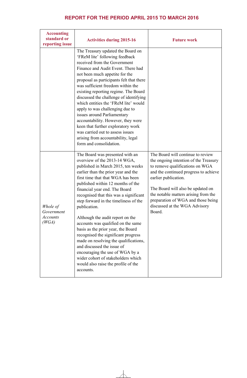| <b>Accounting</b><br>standard or<br>reporting issue | <b>Activities during 2015-16</b>                                                                                                                                                                                                                                                                                                                                                                                                                                                                                                                                                                                                                                                                                      | <b>Future work</b>                                                                                                                                                                                                                                                                                                                           |
|-----------------------------------------------------|-----------------------------------------------------------------------------------------------------------------------------------------------------------------------------------------------------------------------------------------------------------------------------------------------------------------------------------------------------------------------------------------------------------------------------------------------------------------------------------------------------------------------------------------------------------------------------------------------------------------------------------------------------------------------------------------------------------------------|----------------------------------------------------------------------------------------------------------------------------------------------------------------------------------------------------------------------------------------------------------------------------------------------------------------------------------------------|
|                                                     | The Treasury updated the Board on<br>'FReM lite' following feedback<br>received from the Government<br>Finance and Audit Event. There had<br>not been much appetite for the<br>proposal as participants felt that there<br>was sufficient freedom within the<br>existing reporting regime. The Board<br>discussed the challenge of identifying<br>which entities the 'FReM lite' would<br>apply to was challenging due to<br>issues around Parliamentary<br>accountability. However, they were<br>keen that further exploratory work<br>was carried out to assess issues<br>arising from accountability, legal<br>form and consolidation.                                                                             |                                                                                                                                                                                                                                                                                                                                              |
| Whole of<br>Government<br><i>Accounts</i><br>(WGA)  | The Board was presented with an<br>overview of the 2013-14 WGA,<br>published in March 2015, ten weeks<br>earlier than the prior year and the<br>first time that that WGA has been<br>published within 12 months of the<br>financial year end. The Board<br>recognised that this was a significant<br>step forward in the timeliness of the<br>publication.<br>Although the audit report on the<br>accounts was qualified on the same<br>basis as the prior year, the Board<br>recognised the significant progress<br>made on resolving the qualifications,<br>and discussed the issue of<br>encouraging the use of WGA by a<br>wider cohort of stakeholders which<br>would also raise the profile of the<br>accounts. | The Board will continue to review<br>the ongoing intention of the Treasury<br>to remove qualifications on WGA<br>and the continued progress to achieve<br>earlier publication.<br>The Board will also be updated on<br>the notable matters arising from the<br>preparation of WGA and those being<br>discussed at the WGA Advisory<br>Board. |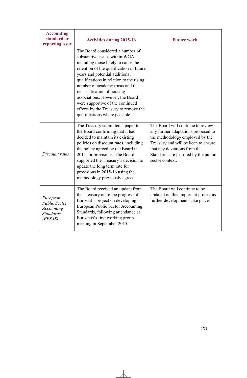| <b>Accounting</b><br>standard or<br>reporting issue                                  | <b>Activities during 2015-16</b>                                                                                                                                                                                                                                                                                                                                                                                                                         | <b>Future work</b>                                                                                                                                                                                                                             |
|--------------------------------------------------------------------------------------|----------------------------------------------------------------------------------------------------------------------------------------------------------------------------------------------------------------------------------------------------------------------------------------------------------------------------------------------------------------------------------------------------------------------------------------------------------|------------------------------------------------------------------------------------------------------------------------------------------------------------------------------------------------------------------------------------------------|
|                                                                                      | The Board considered a number of<br>substantive issues within WGA<br>including those likely to cause the<br>retention of the qualification in future<br>years and potential additional<br>qualifications in relation to the rising<br>number of academy trusts and the<br>reclassification of housing<br>associations. However, the Board<br>were supportive of the continued<br>efforts by the Treasury to remove the<br>qualifications where possible. |                                                                                                                                                                                                                                                |
| Discount rates                                                                       | The Treasury submitted a paper to<br>the Board confirming that it had<br>decided to maintain its existing<br>policies on discount rates, including<br>the policy agreed by the Board in<br>2011 for provisions. The Board<br>supported the Treasury's decision to<br>update the long term rate for<br>provisions in 2015-16 using the<br>methodology previously agreed.                                                                                  | The Board will continue to review<br>any further adaptations proposed to<br>the methodology employed by the<br>Treasury and will be keen to ensure<br>that any deviations from the<br>Standards are justified by the public<br>sector context. |
| European<br><b>Public Sector</b><br><b>Accounting</b><br><b>Standards</b><br>(EPSAS) | The Board received an update from<br>the Treasury on to the progress of<br>Eurostat's project on developing<br>European Public Sector Accounting<br>Standards, following attendance at<br>Eurostats's first working group<br>meeting in September 2015.                                                                                                                                                                                                  | The Board will continue to be<br>updated on this important project as<br>further developments take place.                                                                                                                                      |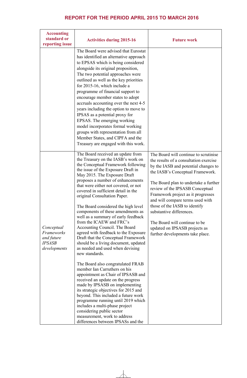| <b>Accounting</b><br>standard or<br>reporting issue                     | <b>Activities during 2015-16</b>                                                                                                                                                                                                                                                                                                                                                                                                                                                                                                                                                                                                                                                                                                                                                                                                                                                                                                                                                                                                                                                                                                                   | <b>Future work</b>                                                                                                                                                                                                                                                                                                                                                                                                                                                                   |
|-------------------------------------------------------------------------|----------------------------------------------------------------------------------------------------------------------------------------------------------------------------------------------------------------------------------------------------------------------------------------------------------------------------------------------------------------------------------------------------------------------------------------------------------------------------------------------------------------------------------------------------------------------------------------------------------------------------------------------------------------------------------------------------------------------------------------------------------------------------------------------------------------------------------------------------------------------------------------------------------------------------------------------------------------------------------------------------------------------------------------------------------------------------------------------------------------------------------------------------|--------------------------------------------------------------------------------------------------------------------------------------------------------------------------------------------------------------------------------------------------------------------------------------------------------------------------------------------------------------------------------------------------------------------------------------------------------------------------------------|
|                                                                         | The Board were advised that Eurostat<br>has identified an alternative approach<br>to EPSAS which is being considered<br>alongside its original proposition,<br>The two potential approaches were<br>outlined as well as the key priorities<br>for 2015-16, which include a<br>programme of financial support to<br>encourage member states to adopt<br>accruals accounting over the next 4-5<br>years including the option to move to<br>IPSAS as a potential proxy for<br>EPSAS. The emerging working<br>model incorporates formal working<br>groups with representation from all<br>Member States, and CIPFA and the<br>Treasury are engaged with this work.                                                                                                                                                                                                                                                                                                                                                                                                                                                                                     |                                                                                                                                                                                                                                                                                                                                                                                                                                                                                      |
| Conceptual<br>Frameworks<br>and future<br><b>IPSASB</b><br>developments | The Board received an update from<br>the Treasury on the IASB's work on<br>the Conceptual Framework following<br>the issue of the Exposure Draft in<br>May 2015. The Exposure Draft<br>proposes a number of enhancements<br>that were either not covered, or not<br>covered in sufficient detail in the<br>original Consultation Paper.<br>The Board considered the high level<br>components of these amendments as<br>well as a summary of early feedback<br>from the ICAEW and FRC's<br>Accounting Council. The Board<br>agreed with feedback to the Exposure<br>Draft that the Conceptual Framework<br>should be a living document, updated<br>as needed and used when devising<br>new standards.<br>The Board also congratulated FRAB<br>member Ian Carruthers on his<br>appointment as Chair of IPSASB and<br>received an update on the progress<br>made by IPSASB on implementing<br>its strategic objectives for 2015 and<br>beyond. This included a future work<br>programme running until 2019 which<br>includes a multi-phase project<br>considering public sector<br>measurement, work to address<br>differences between IPSASs and the | The Board will continue to scrutinise<br>the results of a consultation exercise<br>by the IASB and potential changes to<br>the IASB's Conceptual Framework.<br>The Board plan to undertake a further<br>review of the IPSASB Conceptual<br>Framework project as it progresses<br>and will compare terms used with<br>those of the IASB to identify<br>substantive differences.<br>The Board will continue to be<br>updated on IPSASB projects as<br>further developments take place. |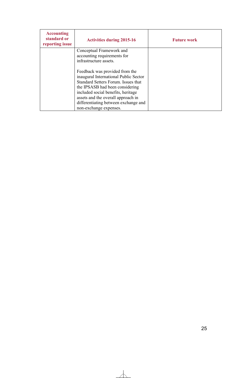| <b>Accounting</b><br>standard or<br>reporting issue | <b>Activities during 2015-16</b>                                                                                                                                                                                                                                                                | <b>Future work</b> |
|-----------------------------------------------------|-------------------------------------------------------------------------------------------------------------------------------------------------------------------------------------------------------------------------------------------------------------------------------------------------|--------------------|
|                                                     | Conceptual Framework and<br>accounting requirements for                                                                                                                                                                                                                                         |                    |
|                                                     | infrastructure assets.                                                                                                                                                                                                                                                                          |                    |
|                                                     | Feedback was provided from the<br>inaugural International Public Sector<br>Standard Setters Forum. Issues that<br>the IPSASB had been considering<br>included social benefits, heritage<br>assets and the overall approach in<br>differentiating between exchange and<br>non-exchange expenses. |                    |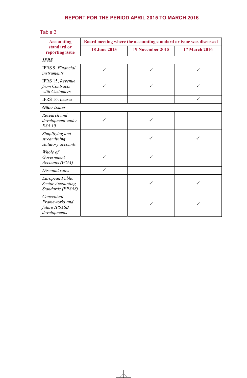### Table 3

| <b>Accounting</b><br>standard or<br>reporting issue              | Board meeting where the accounting standard or issue was discussed |                  |                      |
|------------------------------------------------------------------|--------------------------------------------------------------------|------------------|----------------------|
|                                                                  | <b>18 June 2015</b>                                                | 19 November 2015 | <b>17 March 2016</b> |
| <b>IFRS</b>                                                      |                                                                    |                  |                      |
| IFRS 9, Financial<br>instruments                                 | $\checkmark$                                                       | ✓                | ✓                    |
| IFRS 15, Revenue<br>from Contracts<br>with Customers             | ✓                                                                  |                  |                      |
| IFRS 16, Leases                                                  |                                                                    |                  | $\checkmark$         |
| Other issues                                                     |                                                                    |                  |                      |
| Research and<br>development under<br><b>ESA 10</b>               | ✓                                                                  | ✓                |                      |
| Simplifying and<br>streamlining<br>statutory accounts            |                                                                    | ✓                | ✓                    |
| Whole of<br>Government<br>Accounts (WGA)                         | ✓                                                                  | ✓                |                      |
| Discount rates                                                   | ✓                                                                  |                  |                      |
| European Public<br><b>Sector Accounting</b><br>Standards (EPSAS) |                                                                    | ✓                | ✓                    |
| Conceptual<br>Frameworks and<br>future IPSASB<br>developments    |                                                                    | ✓                |                      |